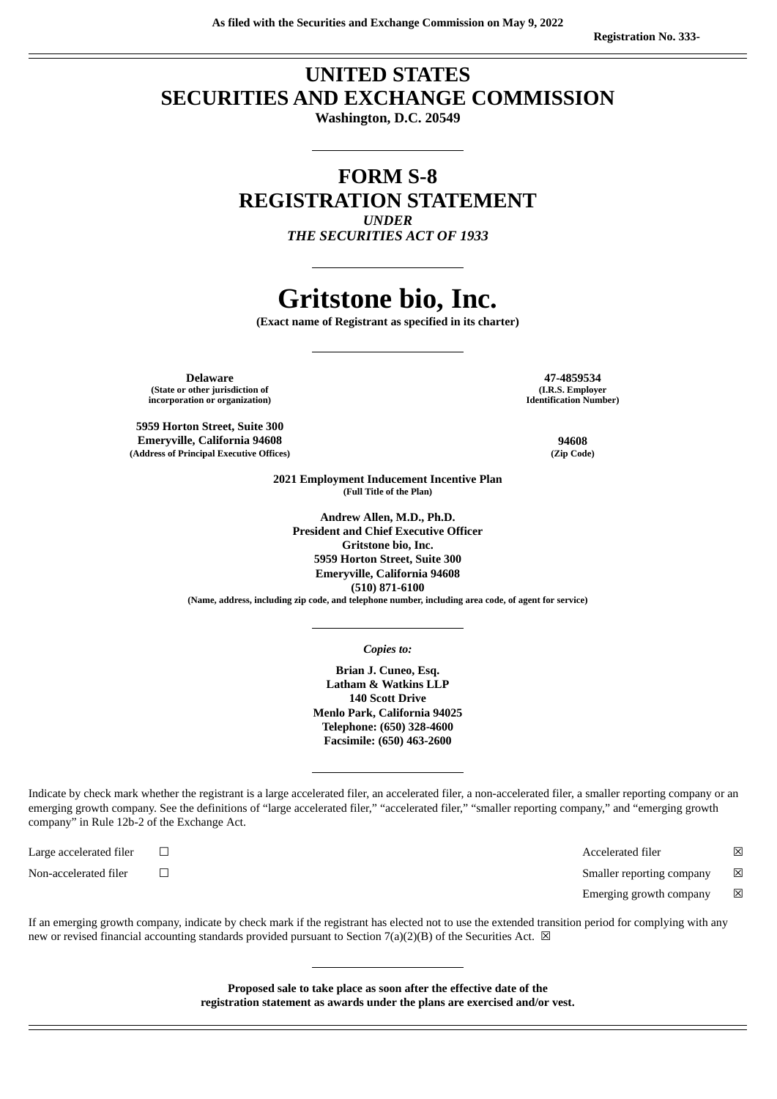# **UNITED STATES SECURITIES AND EXCHANGE COMMISSION**

**Washington, D.C. 20549**

# **FORM S-8 REGISTRATION STATEMENT** *UNDER*

*THE SECURITIES ACT OF 1933*

# **Gritstone bio, Inc.**

**(Exact name of Registrant as specified in its charter)**

**Delaware 47-4859534 (State or other jurisdiction of incorporation or organization)**

**5959 Horton Street, Suite 300 Emeryville, California 94608 94608 (Address of Principal Executive Offices) (Zip Code)**

**(I.R.S. Employer Identification Number)**

**2021 Employment Inducement Incentive Plan (Full Title of the Plan)**

**Andrew Allen, M.D., Ph.D. President and Chief Executive Officer Gritstone bio, Inc. 5959 Horton Street, Suite 300 Emeryville, California 94608 (510) 871-6100**

**(Name, address, including zip code, and telephone number, including area code, of agent for service)**

*Copies to:*

**Brian J. Cuneo, Esq. Latham & Watkins LLP 140 Scott Drive Menlo Park, California 94025 Telephone: (650) 328-4600 Facsimile: (650) 463-2600**

Indicate by check mark whether the registrant is a large accelerated filer, an accelerated filer, a non-accelerated filer, a smaller reporting company or an emerging growth company. See the definitions of "large accelerated filer," "accelerated filer," "smaller reporting company," and "emerging growth company" in Rule 12b-2 of the Exchange Act.

Large accelerated filer ☐ Accelerated filer ☒

Non-accelerated filer ☐ Smaller reporting company ☒

Emerging growth company  $\boxtimes$ 

If an emerging growth company, indicate by check mark if the registrant has elected not to use the extended transition period for complying with any new or revised financial accounting standards provided pursuant to Section 7(a)(2)(B) of the Securities Act.  $\boxtimes$ 

> **Proposed sale to take place as soon after the effective date of the registration statement as awards under the plans are exercised and/or vest.**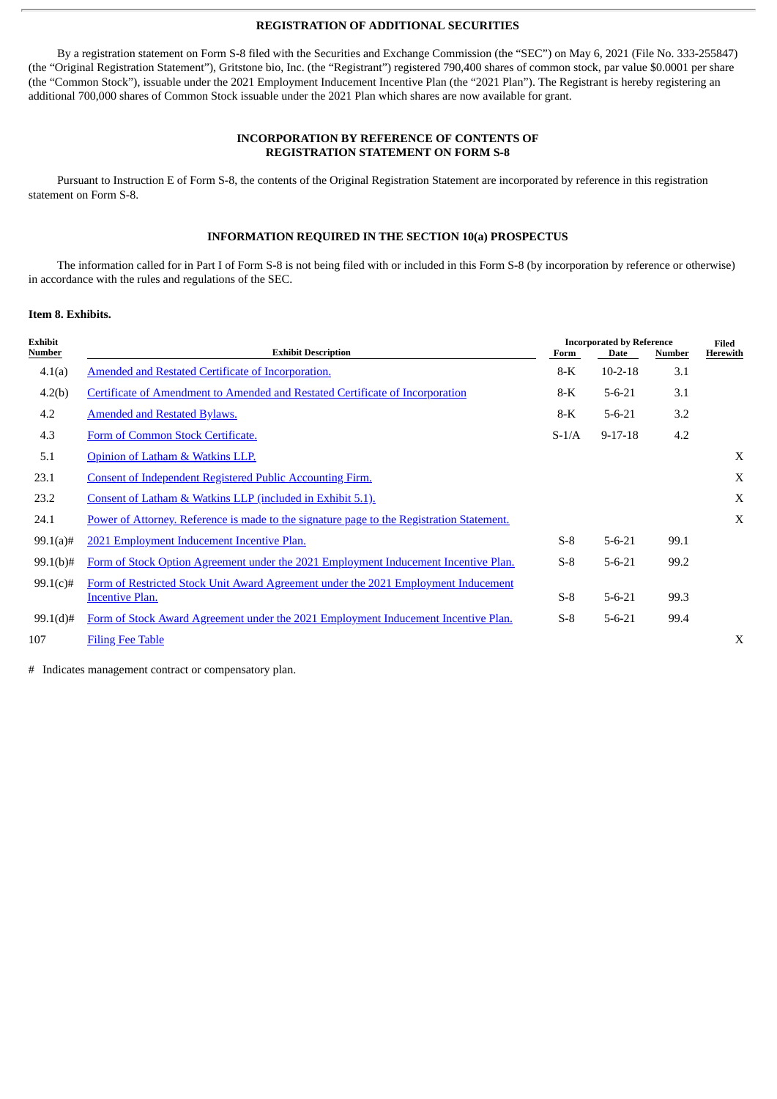#### **REGISTRATION OF ADDITIONAL SECURITIES**

By a registration statement on Form S-8 filed with the Securities and Exchange Commission (the "SEC") on May 6, 2021 (File No. 333-255847) (the "Original Registration Statement"), Gritstone bio, Inc. (the "Registrant") registered 790,400 shares of common stock, par value \$0.0001 per share (the "Common Stock"), issuable under the 2021 Employment Inducement Incentive Plan (the "2021 Plan"). The Registrant is hereby registering an additional 700,000 shares of Common Stock issuable under the 2021 Plan which shares are now available for grant.

### **INCORPORATION BY REFERENCE OF CONTENTS OF REGISTRATION STATEMENT ON FORM S-8**

Pursuant to Instruction E of Form S-8, the contents of the Original Registration Statement are incorporated by reference in this registration statement on Form S-8.

## **INFORMATION REQUIRED IN THE SECTION 10(a) PROSPECTUS**

The information called for in Part I of Form S-8 is not being filed with or included in this Form S-8 (by incorporation by reference or otherwise) in accordance with the rules and regulations of the SEC.

#### **Item 8. Exhibits.**

| Exhibit<br>Number | <b>Exhibit Description</b>                                                                |         | <b>Incorporated by Reference</b><br>Form<br>Date |      | Filed<br>Herewith |
|-------------------|-------------------------------------------------------------------------------------------|---------|--------------------------------------------------|------|-------------------|
| 4.1(a)            | Amended and Restated Certificate of Incorporation.                                        | $8-K$   | $10 - 2 - 18$                                    | 3.1  |                   |
| 4.2(b)            | Certificate of Amendment to Amended and Restated Certificate of Incorporation             | 8-K     | $5 - 6 - 21$                                     | 3.1  |                   |
| 4.2               | <b>Amended and Restated Bylaws.</b>                                                       | $8-K$   | $5 - 6 - 21$                                     | 3.2  |                   |
| 4.3               | Form of Common Stock Certificate.                                                         | $S-1/A$ | $9 - 17 - 18$                                    | 4.2  |                   |
| 5.1               | Opinion of Latham & Watkins LLP.                                                          |         |                                                  |      | X                 |
| 23.1              | Consent of Independent Registered Public Accounting Firm.                                 |         |                                                  |      | X                 |
| 23.2              | Consent of Latham & Watkins LLP (included in Exhibit 5.1).                                |         |                                                  |      | X                 |
| 24.1              | Power of Attorney. Reference is made to the signature page to the Registration Statement. |         |                                                  |      | $\mathbf X$       |
| $99.1(a)$ #       | 2021 Employment Inducement Incentive Plan.                                                | $S-8$   | $5 - 6 - 21$                                     | 99.1 |                   |
| $99.1(b)$ #       | Form of Stock Option Agreement under the 2021 Employment Inducement Incentive Plan.       | $S-8$   | $5 - 6 - 21$                                     | 99.2 |                   |
| 99.1(c)#          | Form of Restricted Stock Unit Award Agreement under the 2021 Employment Inducement        |         |                                                  |      |                   |
|                   | <b>Incentive Plan.</b>                                                                    | $S-8$   | $5 - 6 - 21$                                     | 99.3 |                   |
| $99.1(d)$ #       | Form of Stock Award Agreement under the 2021 Employment Inducement Incentive Plan.        | $S-8$   | $5 - 6 - 21$                                     | 99.4 |                   |
| 107               | <b>Filing Fee Table</b>                                                                   |         |                                                  |      | X                 |

# Indicates management contract or compensatory plan.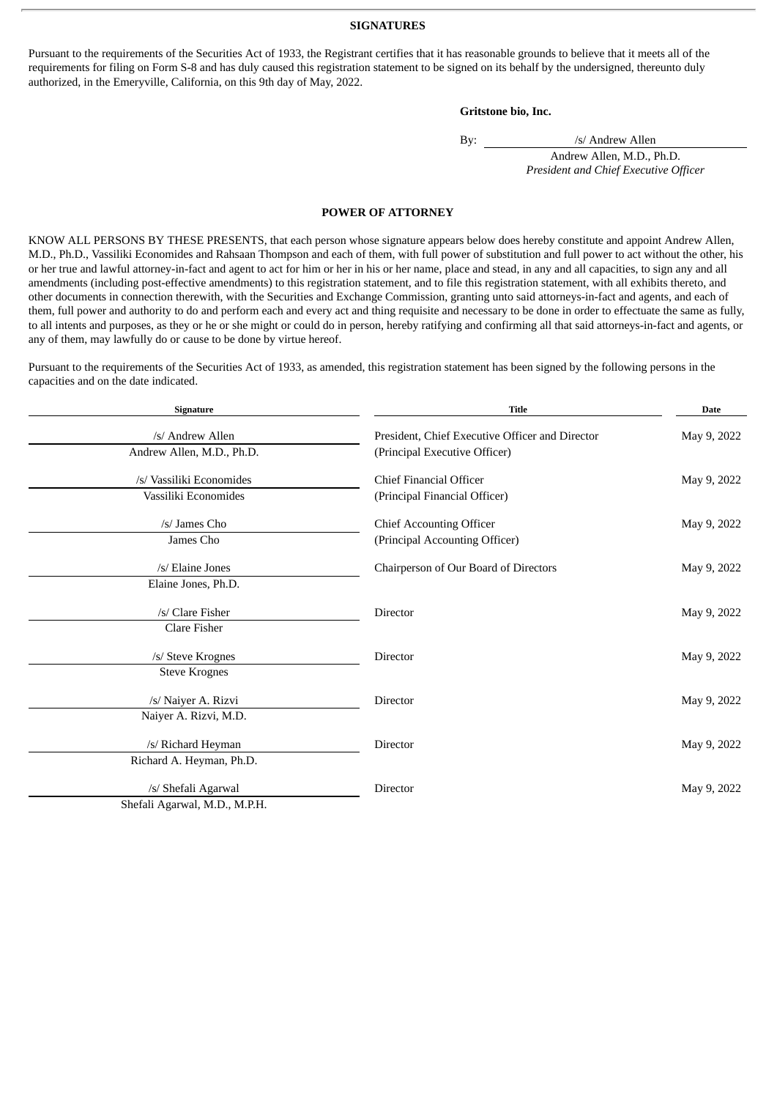#### **SIGNATURES**

<span id="page-2-0"></span>Pursuant to the requirements of the Securities Act of 1933, the Registrant certifies that it has reasonable grounds to believe that it meets all of the requirements for filing on Form S-8 and has duly caused this registration statement to be signed on its behalf by the undersigned, thereunto duly authorized, in the Emeryville, California, on this 9th day of May, 2022.

#### **Gritstone bio, Inc.**

By: /s/ Andrew Allen

Andrew Allen, M.D., Ph.D. *President and Chief Executive Officer*

#### **POWER OF ATTORNEY**

KNOW ALL PERSONS BY THESE PRESENTS, that each person whose signature appears below does hereby constitute and appoint Andrew Allen, M.D., Ph.D., Vassiliki Economides and Rahsaan Thompson and each of them, with full power of substitution and full power to act without the other, his or her true and lawful attorney-in-fact and agent to act for him or her in his or her name, place and stead, in any and all capacities, to sign any and all amendments (including post-effective amendments) to this registration statement, and to file this registration statement, with all exhibits thereto, and other documents in connection therewith, with the Securities and Exchange Commission, granting unto said attorneys-in-fact and agents, and each of them, full power and authority to do and perform each and every act and thing requisite and necessary to be done in order to effectuate the same as fully, to all intents and purposes, as they or he or she might or could do in person, hereby ratifying and confirming all that said attorneys-in-fact and agents, or any of them, may lawfully do or cause to be done by virtue hereof.

Pursuant to the requirements of the Securities Act of 1933, as amended, this registration statement has been signed by the following persons in the capacities and on the date indicated.

| <b>Signature</b>              | <b>Title</b>                                    | <b>Date</b> |  |
|-------------------------------|-------------------------------------------------|-------------|--|
| /s/ Andrew Allen              | President, Chief Executive Officer and Director | May 9, 2022 |  |
| Andrew Allen, M.D., Ph.D.     | (Principal Executive Officer)                   |             |  |
| /s/ Vassiliki Economides      | <b>Chief Financial Officer</b>                  | May 9, 2022 |  |
| Vassiliki Economides          | (Principal Financial Officer)                   |             |  |
| /s/ James Cho                 | <b>Chief Accounting Officer</b>                 | May 9, 2022 |  |
| James Cho                     | (Principal Accounting Officer)                  |             |  |
| /s/ Elaine Jones              | Chairperson of Our Board of Directors           | May 9, 2022 |  |
| Elaine Jones, Ph.D.           |                                                 |             |  |
| /s/ Clare Fisher              | Director                                        | May 9, 2022 |  |
| <b>Clare Fisher</b>           |                                                 |             |  |
| /s/ Steve Krognes             | Director                                        | May 9, 2022 |  |
| <b>Steve Krognes</b>          |                                                 |             |  |
| /s/ Naiyer A. Rizvi           | Director                                        | May 9, 2022 |  |
| Naiyer A. Rizvi, M.D.         |                                                 |             |  |
| /s/ Richard Heyman            | <b>Director</b>                                 | May 9, 2022 |  |
| Richard A. Heyman, Ph.D.      |                                                 |             |  |
| /s/ Shefali Agarwal           | Director                                        | May 9, 2022 |  |
| Shefali Agarwal, M.D., M.P.H. |                                                 |             |  |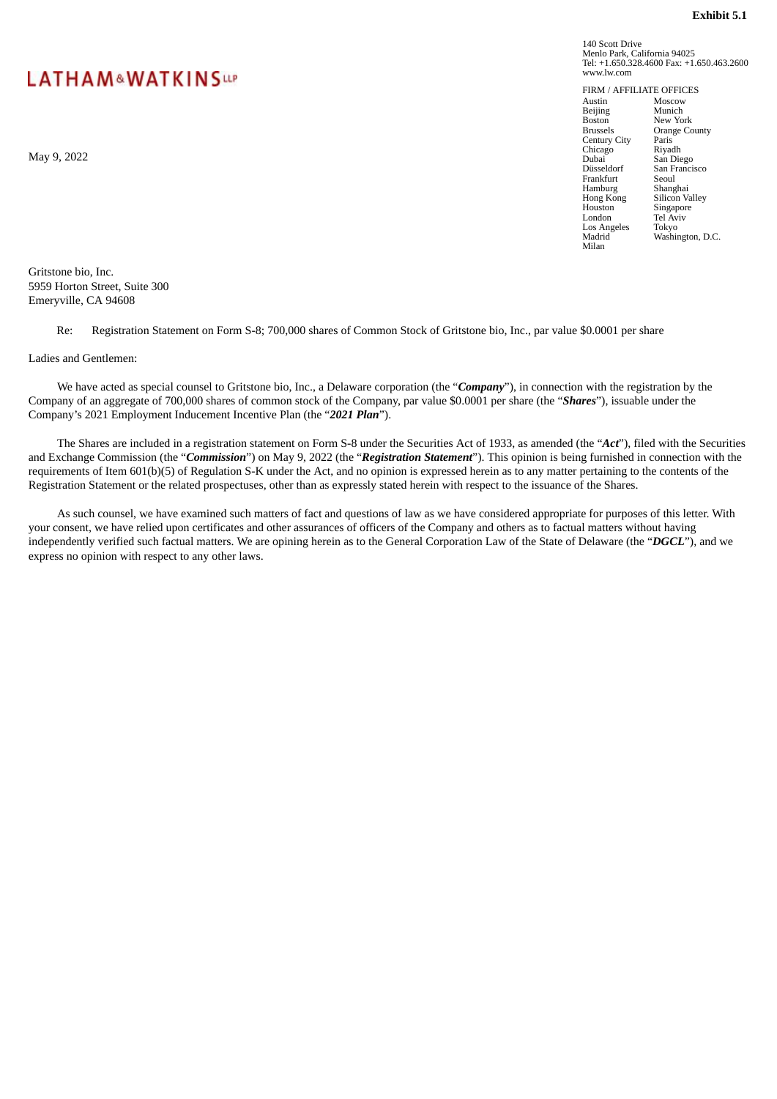# <span id="page-3-0"></span>**LATHAM&WATKINSUP**

May 9, 2022

Gritstone bio, Inc. 5959 Horton Street, Suite 300 Emeryville, CA 94608

Re: Registration Statement on Form S-8; 700,000 shares of Common Stock of Gritstone bio, Inc., par value \$0.0001 per share

Ladies and Gentlemen:

We have acted as special counsel to Gritstone bio, Inc., a Delaware corporation (the "*Company*"), in connection with the registration by the Company of an aggregate of 700,000 shares of common stock of the Company, par value \$0.0001 per share (the "*Shares*"), issuable under the Company's 2021 Employment Inducement Incentive Plan (the "*2021 Plan*").

The Shares are included in a registration statement on Form S-8 under the Securities Act of 1933, as amended (the "*Act*"), filed with the Securities and Exchange Commission (the "*Commission*") on May 9, 2022 (the "*Registration Statement*"). This opinion is being furnished in connection with the requirements of Item 601(b)(5) of Regulation S-K under the Act, and no opinion is expressed herein as to any matter pertaining to the contents of the Registration Statement or the related prospectuses, other than as expressly stated herein with respect to the issuance of the Shares.

As such counsel, we have examined such matters of fact and questions of law as we have considered appropriate for purposes of this letter. With your consent, we have relied upon certificates and other assurances of officers of the Company and others as to factual matters without having independently verified such factual matters. We are opining herein as to the General Corporation Law of the State of Delaware (the "*DGCL*"), and we express no opinion with respect to any other laws.

140 Scott Drive Menlo Park, California 94025 Tel: +1.650.328.4600 Fax: +1.650.463.2600 www.lw.com

FIRM / AFFILIATE OFFICES<br>Austin Moscow<br>Beiling Munich Austin Moscow Beijing Munich Boston New York<br>Brussels Orange Co Orange County<br>Paris Century City<br>
Chicago Riyadh Chicago<br>Dubai<br>Düsseldorf Dubai San Diego Düsseldorf San Francisco Frankfurt Seoul Hamburg Shanghai<br>Hong Kong Silicon V Hong Kong Silicon Valley<br>Houston Singapore Houston Singapore London Tel Aviv Los Angeles Tokyo<br>Madrid Washii Washington, D.C. Milan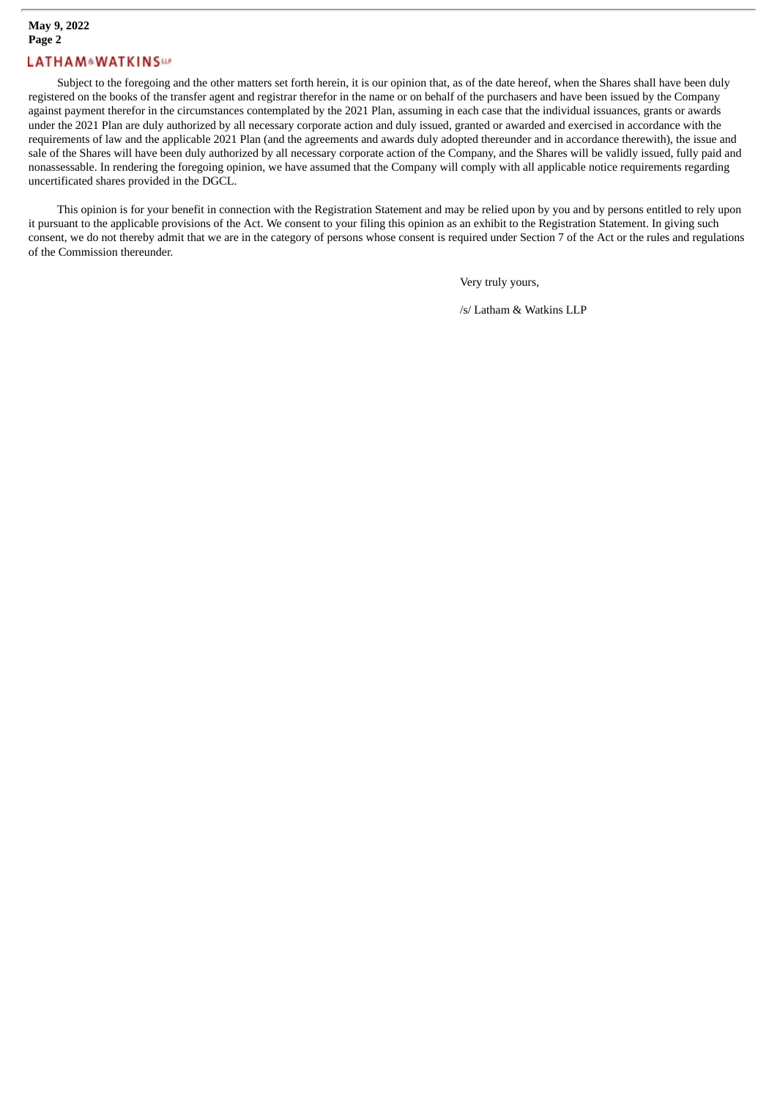## **May 9, 2022 Page 2**

## **LATHAM&WATKINSW**

Subject to the foregoing and the other matters set forth herein, it is our opinion that, as of the date hereof, when the Shares shall have been duly registered on the books of the transfer agent and registrar therefor in the name or on behalf of the purchasers and have been issued by the Company against payment therefor in the circumstances contemplated by the 2021 Plan, assuming in each case that the individual issuances, grants or awards under the 2021 Plan are duly authorized by all necessary corporate action and duly issued, granted or awarded and exercised in accordance with the requirements of law and the applicable 2021 Plan (and the agreements and awards duly adopted thereunder and in accordance therewith), the issue and sale of the Shares will have been duly authorized by all necessary corporate action of the Company, and the Shares will be validly issued, fully paid and nonassessable. In rendering the foregoing opinion, we have assumed that the Company will comply with all applicable notice requirements regarding uncertificated shares provided in the DGCL.

This opinion is for your benefit in connection with the Registration Statement and may be relied upon by you and by persons entitled to rely upon it pursuant to the applicable provisions of the Act. We consent to your filing this opinion as an exhibit to the Registration Statement. In giving such consent, we do not thereby admit that we are in the category of persons whose consent is required under Section 7 of the Act or the rules and regulations of the Commission thereunder.

Very truly yours,

/s/ Latham & Watkins LLP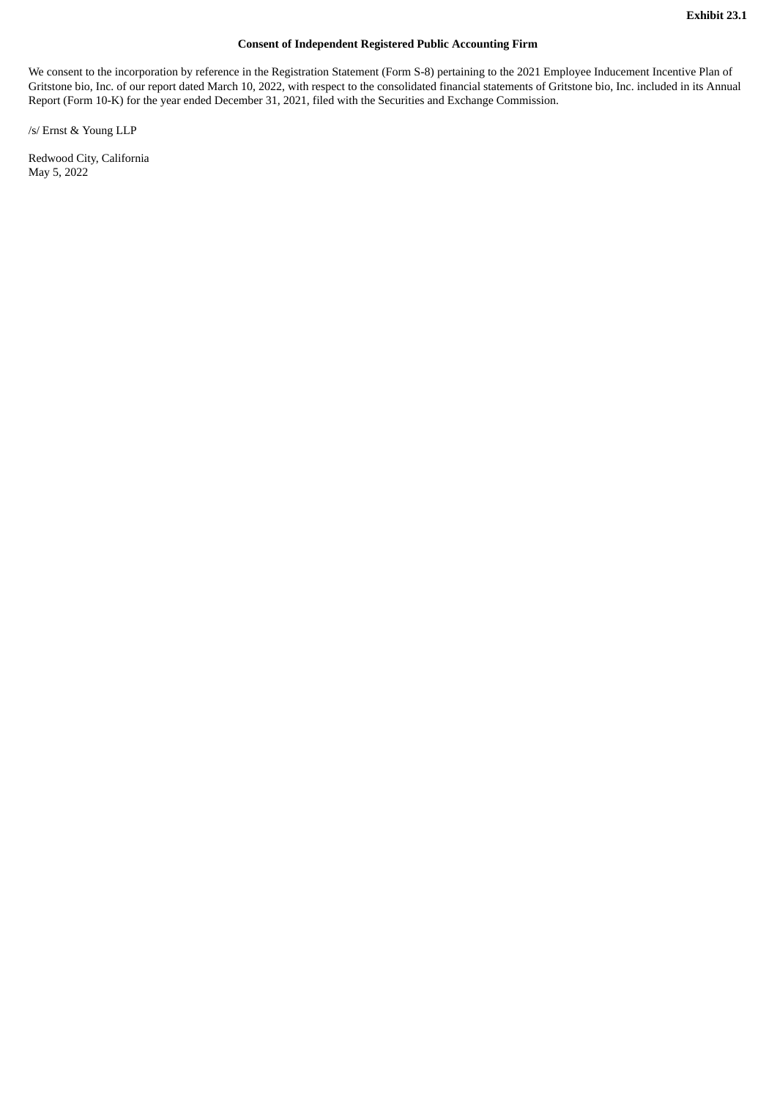### **Consent of Independent Registered Public Accounting Firm**

<span id="page-5-0"></span>We consent to the incorporation by reference in the Registration Statement (Form S-8) pertaining to the 2021 Employee Inducement Incentive Plan of Gritstone bio, Inc. of our report dated March 10, 2022, with respect to the consolidated financial statements of Gritstone bio, Inc. included in its Annual Report (Form 10-K) for the year ended December 31, 2021, filed with the Securities and Exchange Commission.

/s/ Ernst & Young LLP

Redwood City, California May 5, 2022